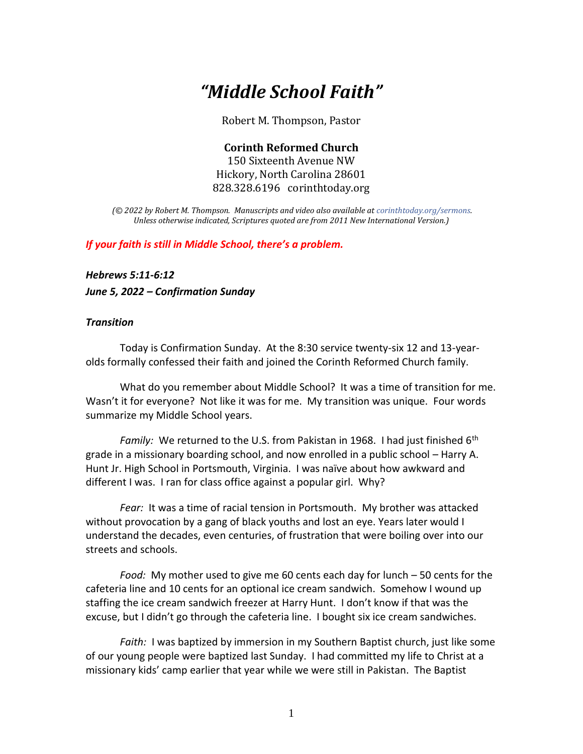## *"Middle School Faith"*

Robert M. Thompson, Pastor

**Corinth Reformed Church** 150 Sixteenth Avenue NW Hickory, North Carolina 28601 828.328.6196 corinthtoday.org

*(© 2022 by Robert M. Thompson. Manuscripts and video also available a[t corinthtoday.org/sermons.](https://corinthtoday.org/sermons-2/) Unless otherwise indicated, Scriptures quoted are from 2011 New International Version.)*

*If your faith is still in Middle School, there's a problem.*

*Hebrews 5:11-6:12*

*June 5, 2022 – Confirmation Sunday*

## *Transition*

Today is Confirmation Sunday. At the 8:30 service twenty-six 12 and 13-yearolds formally confessed their faith and joined the Corinth Reformed Church family.

What do you remember about Middle School? It was a time of transition for me. Wasn't it for everyone? Not like it was for me. My transition was unique. Four words summarize my Middle School years.

*Family:* We returned to the U.S. from Pakistan in 1968. I had just finished 6<sup>th</sup> grade in a missionary boarding school, and now enrolled in a public school – Harry A. Hunt Jr. High School in Portsmouth, Virginia. I was naïve about how awkward and different I was. I ran for class office against a popular girl. Why?

*Fear:* It was a time of racial tension in Portsmouth. My brother was attacked without provocation by a gang of black youths and lost an eye. Years later would I understand the decades, even centuries, of frustration that were boiling over into our streets and schools.

*Food:* My mother used to give me 60 cents each day for lunch – 50 cents for the cafeteria line and 10 cents for an optional ice cream sandwich. Somehow I wound up staffing the ice cream sandwich freezer at Harry Hunt. I don't know if that was the excuse, but I didn't go through the cafeteria line. I bought six ice cream sandwiches.

*Faith:* I was baptized by immersion in my Southern Baptist church, just like some of our young people were baptized last Sunday. I had committed my life to Christ at a missionary kids' camp earlier that year while we were still in Pakistan. The Baptist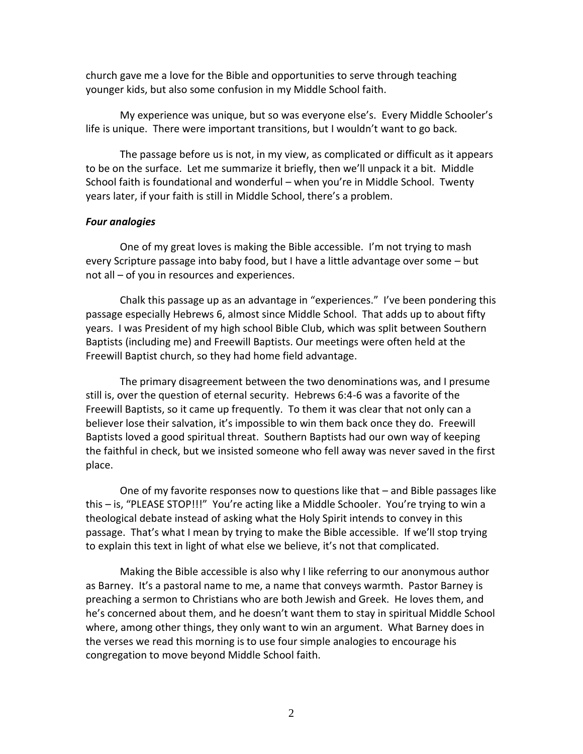church gave me a love for the Bible and opportunities to serve through teaching younger kids, but also some confusion in my Middle School faith.

My experience was unique, but so was everyone else's. Every Middle Schooler's life is unique. There were important transitions, but I wouldn't want to go back.

The passage before us is not, in my view, as complicated or difficult as it appears to be on the surface. Let me summarize it briefly, then we'll unpack it a bit. Middle School faith is foundational and wonderful – when you're in Middle School. Twenty years later, if your faith is still in Middle School, there's a problem.

## *Four analogies*

One of my great loves is making the Bible accessible. I'm not trying to mash every Scripture passage into baby food, but I have a little advantage over some – but not all – of you in resources and experiences.

Chalk this passage up as an advantage in "experiences." I've been pondering this passage especially Hebrews 6, almost since Middle School. That adds up to about fifty years. I was President of my high school Bible Club, which was split between Southern Baptists (including me) and Freewill Baptists. Our meetings were often held at the Freewill Baptist church, so they had home field advantage.

The primary disagreement between the two denominations was, and I presume still is, over the question of eternal security. Hebrews 6:4-6 was a favorite of the Freewill Baptists, so it came up frequently. To them it was clear that not only can a believer lose their salvation, it's impossible to win them back once they do. Freewill Baptists loved a good spiritual threat. Southern Baptists had our own way of keeping the faithful in check, but we insisted someone who fell away was never saved in the first place.

One of my favorite responses now to questions like that – and Bible passages like this – is, "PLEASE STOP!!!" You're acting like a Middle Schooler. You're trying to win a theological debate instead of asking what the Holy Spirit intends to convey in this passage. That's what I mean by trying to make the Bible accessible. If we'll stop trying to explain this text in light of what else we believe, it's not that complicated.

Making the Bible accessible is also why I like referring to our anonymous author as Barney. It's a pastoral name to me, a name that conveys warmth. Pastor Barney is preaching a sermon to Christians who are both Jewish and Greek. He loves them, and he's concerned about them, and he doesn't want them to stay in spiritual Middle School where, among other things, they only want to win an argument. What Barney does in the verses we read this morning is to use four simple analogies to encourage his congregation to move beyond Middle School faith.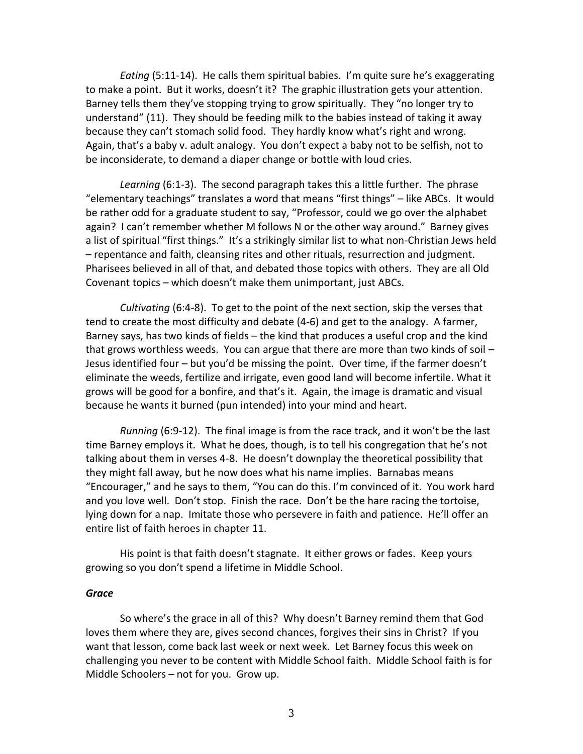*Eating* (5:11-14). He calls them spiritual babies. I'm quite sure he's exaggerating to make a point. But it works, doesn't it? The graphic illustration gets your attention. Barney tells them they've stopping trying to grow spiritually. They "no longer try to understand" (11). They should be feeding milk to the babies instead of taking it away because they can't stomach solid food. They hardly know what's right and wrong. Again, that's a baby v. adult analogy. You don't expect a baby not to be selfish, not to be inconsiderate, to demand a diaper change or bottle with loud cries.

*Learning* (6:1-3). The second paragraph takes this a little further. The phrase "elementary teachings" translates a word that means "first things" – like ABCs. It would be rather odd for a graduate student to say, "Professor, could we go over the alphabet again? I can't remember whether M follows N or the other way around." Barney gives a list of spiritual "first things." It's a strikingly similar list to what non-Christian Jews held – repentance and faith, cleansing rites and other rituals, resurrection and judgment. Pharisees believed in all of that, and debated those topics with others. They are all Old Covenant topics – which doesn't make them unimportant, just ABCs.

*Cultivating* (6:4-8). To get to the point of the next section, skip the verses that tend to create the most difficulty and debate (4-6) and get to the analogy. A farmer, Barney says, has two kinds of fields – the kind that produces a useful crop and the kind that grows worthless weeds. You can argue that there are more than two kinds of soil – Jesus identified four – but you'd be missing the point. Over time, if the farmer doesn't eliminate the weeds, fertilize and irrigate, even good land will become infertile. What it grows will be good for a bonfire, and that's it. Again, the image is dramatic and visual because he wants it burned (pun intended) into your mind and heart.

*Running* (6:9-12). The final image is from the race track, and it won't be the last time Barney employs it. What he does, though, is to tell his congregation that he's not talking about them in verses 4-8. He doesn't downplay the theoretical possibility that they might fall away, but he now does what his name implies. Barnabas means "Encourager," and he says to them, "You can do this. I'm convinced of it. You work hard and you love well. Don't stop. Finish the race. Don't be the hare racing the tortoise, lying down for a nap. Imitate those who persevere in faith and patience. He'll offer an entire list of faith heroes in chapter 11.

His point is that faith doesn't stagnate. It either grows or fades. Keep yours growing so you don't spend a lifetime in Middle School.

## *Grace*

So where's the grace in all of this? Why doesn't Barney remind them that God loves them where they are, gives second chances, forgives their sins in Christ? If you want that lesson, come back last week or next week. Let Barney focus this week on challenging you never to be content with Middle School faith. Middle School faith is for Middle Schoolers – not for you. Grow up.